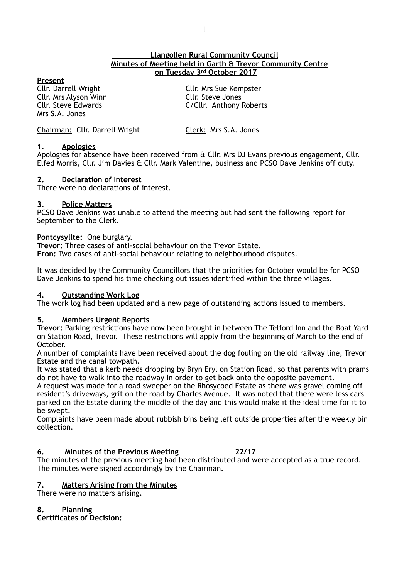# **Llangollen Rural Community Council Minutes of Meeting held in Garth & Trevor Community Centre on Tuesday 3rd October 2017**

**Present**<br>Cllr. Darrell Wright Cllr. Mrs Alyson Winn<br>Cllr. Steve Edwards Mrs S.A. Jones

Cllr. Mrs Sue Kempster<br>Cllr. Steve Jones C/Cllr. Anthony Roberts

Chairman: Cllr. Darrell Wright Clerk: Mrs S.A. Jones

# **1. Apologies**

Apologies for absence have been received from & Cllr. Mrs DJ Evans previous engagement, Cllr. Elfed Morris, Cllr. Jim Davies & Cllr. Mark Valentine, business and PCSO Dave Jenkins off duty.

# **2. Declaration of Interest**

There were no declarations of interest.

# **3. Police Matters**

PCSO Dave Jenkins was unable to attend the meeting but had sent the following report for September to the Clerk.

#### **Pontcysyllte:** One burglary.

**Trevor:** Three cases of anti-social behaviour on the Trevor Estate. **Fron:** Two cases of anti-social behaviour relating to neighbourhood disputes.

It was decided by the Community Councillors that the priorities for October would be for PCSO Dave Jenkins to spend his time checking out issues identified within the three villages.

# **4. Outstanding Work Log**

The work log had been updated and a new page of outstanding actions issued to members.

# **5. Members Urgent Reports**

**Trevor:** Parking restrictions have now been brought in between The Telford Inn and the Boat Yard on Station Road, Trevor. These restrictions will apply from the beginning of March to the end of October.

A number of complaints have been received about the dog fouling on the old railway line, Trevor Estate and the canal towpath.

It was stated that a kerb needs dropping by Bryn Eryl on Station Road, so that parents with prams do not have to walk into the roadway in order to get back onto the opposite pavement.

A request was made for a road sweeper on the Rhosycoed Estate as there was gravel coming off resident's driveways, grit on the road by Charles Avenue. It was noted that there were less cars parked on the Estate during the middle of the day and this would make it the ideal time for it to be swept.

Complaints have been made about rubbish bins being left outside properties after the weekly bin collection.

# **6. Minutes of the Previous Meeting 22/17**

The minutes of the previous meeting had been distributed and were accepted as a true record. The minutes were signed accordingly by the Chairman.

# **7. Matters Arising from the Minutes**

There were no matters arising.

# **8. Planning**

**Certificates of Decision:**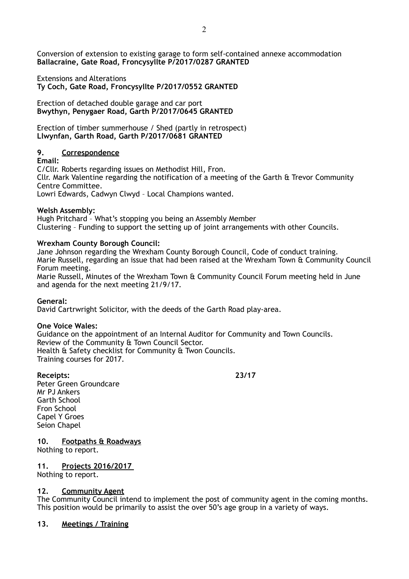Conversion of extension to existing garage to form self-contained annexe accommodation **Ballacraine, Gate Road, Froncysyllte P/2017/0287 GRANTED** 

Extensions and Alterations **Ty Coch, Gate Road, Froncysyllte P/2017/0552 GRANTED** 

Erection of detached double garage and car port **Bwythyn, Penygaer Road, Garth P/2017/0645 GRANTED** 

Erection of timber summerhouse / Shed (partly in retrospect) **Llwynfan, Garth Road, Garth P/2017/0681 GRANTED** 

# **9. Correspondence**

**Email:** 

C/Cllr. Roberts regarding issues on Methodist Hill, Fron. Cllr. Mark Valentine regarding the notification of a meeting of the Garth & Trevor Community Centre Committee. Lowri Edwards, Cadwyn Clwyd – Local Champions wanted.

# **Welsh Assembly:**

Hugh Pritchard – What's stopping you being an Assembly Member Clustering – Funding to support the setting up of joint arrangements with other Councils.

# **Wrexham County Borough Council:**

Jane Johnson regarding the Wrexham County Borough Council, Code of conduct training. Marie Russell, regarding an issue that had been raised at the Wrexham Town & Community Council Forum meeting.

Marie Russell, Minutes of the Wrexham Town & Community Council Forum meeting held in June and agenda for the next meeting 21/9/17.

# **General:**

David Cartrwright Solicitor, with the deeds of the Garth Road play-area.

# **One Voice Wales:**

Guidance on the appointment of an Internal Auditor for Community and Town Councils. Review of the Community & Town Council Sector. Health & Safety checklist for Community & Twon Councils. Training courses for 2017.

**Receipts: 23/17** Peter Green Groundcare Mr PJ Ankers Garth School Fron School Capel Y Groes Seion Chapel

**10. Footpaths & Roadways** 

Nothing to report.

# **11. Projects 2016/2017**

Nothing to report.

# **12. Community Agent**

The Community Council intend to implement the post of community agent in the coming months. This position would be primarily to assist the over 50's age group in a variety of ways.

# **13. Meetings / Training**